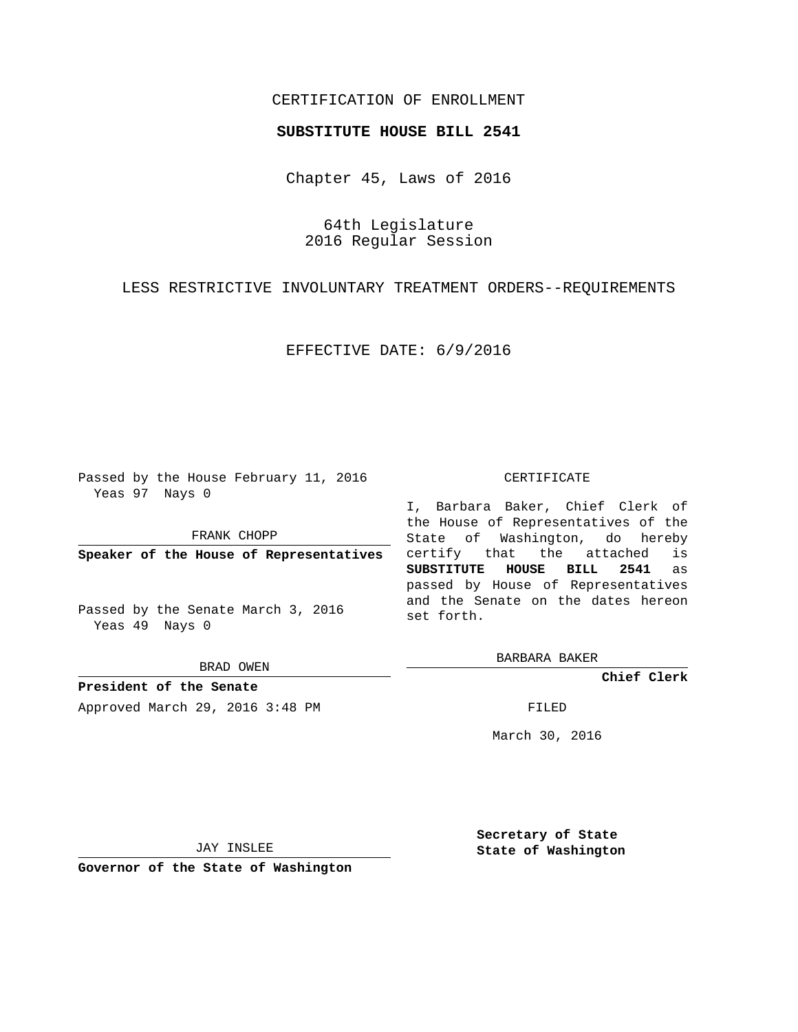# CERTIFICATION OF ENROLLMENT

### **SUBSTITUTE HOUSE BILL 2541**

Chapter 45, Laws of 2016

64th Legislature 2016 Regular Session

LESS RESTRICTIVE INVOLUNTARY TREATMENT ORDERS--REQUIREMENTS

EFFECTIVE DATE: 6/9/2016

Passed by the House February 11, 2016 Yeas 97 Nays 0

FRANK CHOPP

**Speaker of the House of Representatives**

Passed by the Senate March 3, 2016 Yeas 49 Nays 0

BRAD OWEN

**President of the Senate** Approved March 29, 2016 3:48 PM FILED

#### CERTIFICATE

I, Barbara Baker, Chief Clerk of the House of Representatives of the State of Washington, do hereby certify that the attached is **SUBSTITUTE HOUSE BILL 2541** as passed by House of Representatives and the Senate on the dates hereon set forth.

BARBARA BAKER

**Chief Clerk**

March 30, 2016

JAY INSLEE

**Governor of the State of Washington**

**Secretary of State State of Washington**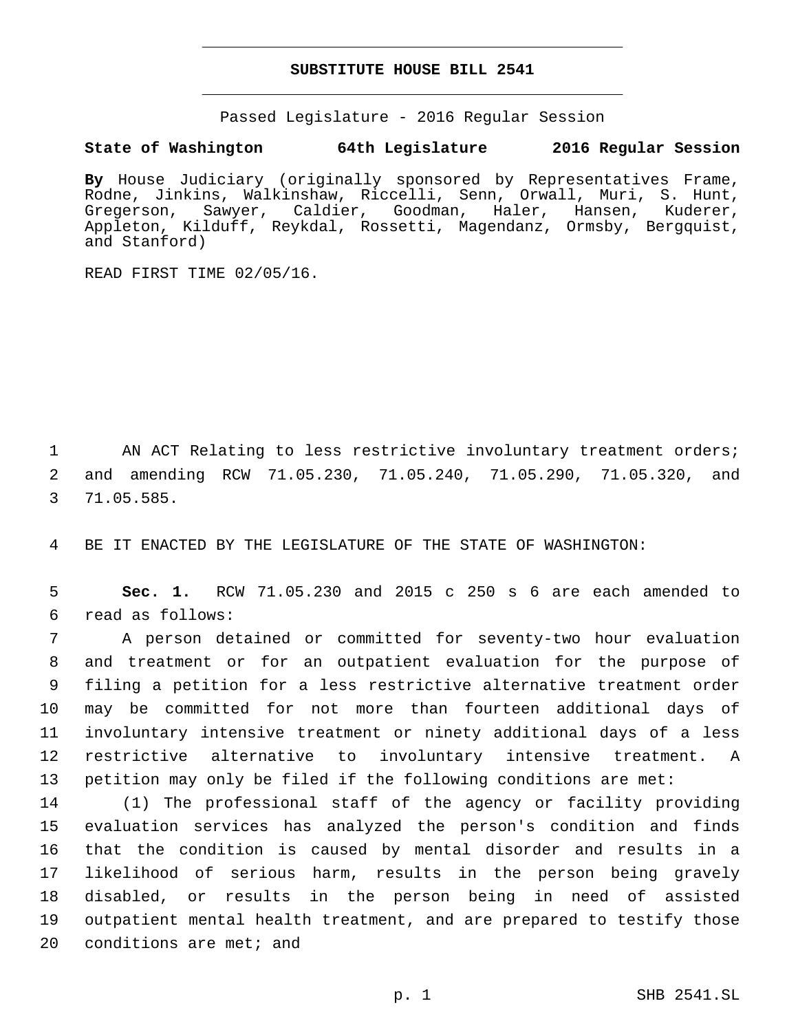### **SUBSTITUTE HOUSE BILL 2541**

Passed Legislature - 2016 Regular Session

# **State of Washington 64th Legislature 2016 Regular Session**

**By** House Judiciary (originally sponsored by Representatives Frame, Rodne, Jinkins, Walkinshaw, Riccelli, Senn, Orwall, Muri, S. Hunt,<br>Gregerson, Sawyer, Caldier, Goodman, Haler, Hansen, Kuderer, Gregerson, Sawyer, Caldier, Goodman, Haler, Appleton, Kilduff, Reykdal, Rossetti, Magendanz, Ormsby, Bergquist, and Stanford)

READ FIRST TIME 02/05/16.

1 AN ACT Relating to less restrictive involuntary treatment orders; 2 and amending RCW 71.05.230, 71.05.240, 71.05.290, 71.05.320, and 71.05.585.3

4 BE IT ENACTED BY THE LEGISLATURE OF THE STATE OF WASHINGTON:

5 **Sec. 1.** RCW 71.05.230 and 2015 c 250 s 6 are each amended to read as follows:6

 A person detained or committed for seventy-two hour evaluation and treatment or for an outpatient evaluation for the purpose of filing a petition for a less restrictive alternative treatment order may be committed for not more than fourteen additional days of involuntary intensive treatment or ninety additional days of a less restrictive alternative to involuntary intensive treatment. A petition may only be filed if the following conditions are met:

 (1) The professional staff of the agency or facility providing evaluation services has analyzed the person's condition and finds that the condition is caused by mental disorder and results in a likelihood of serious harm, results in the person being gravely disabled, or results in the person being in need of assisted outpatient mental health treatment, and are prepared to testify those conditions are met; and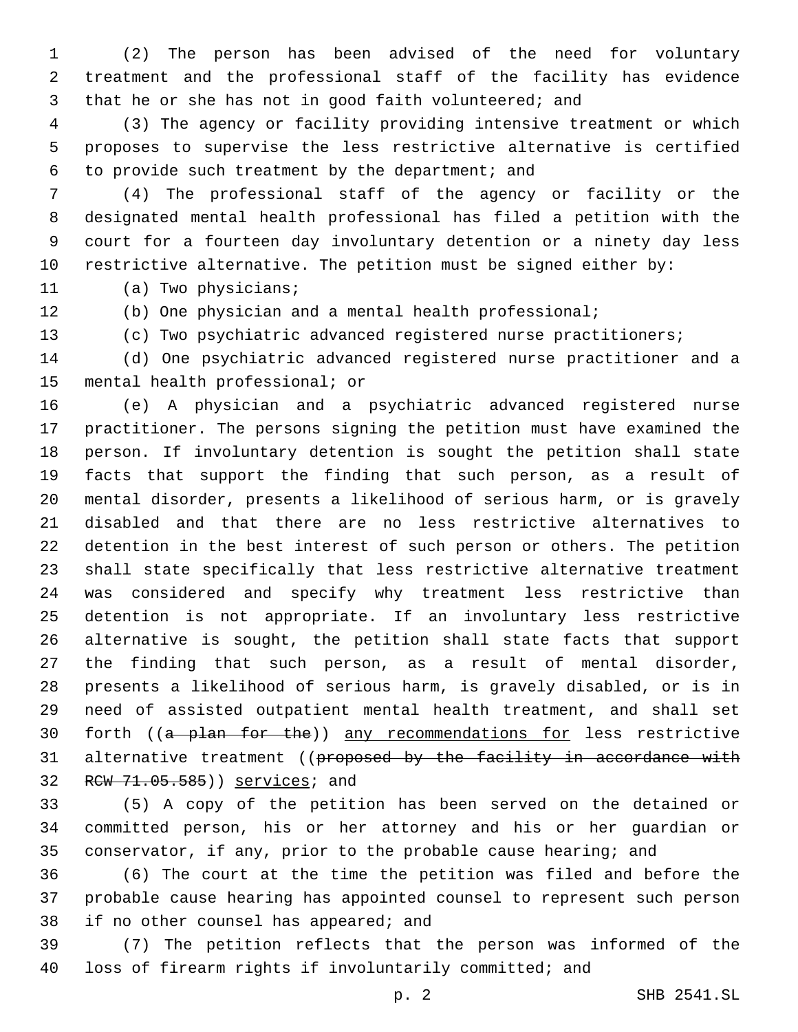(2) The person has been advised of the need for voluntary treatment and the professional staff of the facility has evidence that he or she has not in good faith volunteered; and

 (3) The agency or facility providing intensive treatment or which proposes to supervise the less restrictive alternative is certified 6 to provide such treatment by the department; and

 (4) The professional staff of the agency or facility or the designated mental health professional has filed a petition with the court for a fourteen day involuntary detention or a ninety day less restrictive alternative. The petition must be signed either by:

11 (a) Two physicians;

(b) One physician and a mental health professional;

(c) Two psychiatric advanced registered nurse practitioners;

 (d) One psychiatric advanced registered nurse practitioner and a 15 mental health professional; or

 (e) A physician and a psychiatric advanced registered nurse practitioner. The persons signing the petition must have examined the person. If involuntary detention is sought the petition shall state facts that support the finding that such person, as a result of mental disorder, presents a likelihood of serious harm, or is gravely disabled and that there are no less restrictive alternatives to detention in the best interest of such person or others. The petition shall state specifically that less restrictive alternative treatment was considered and specify why treatment less restrictive than detention is not appropriate. If an involuntary less restrictive alternative is sought, the petition shall state facts that support the finding that such person, as a result of mental disorder, presents a likelihood of serious harm, is gravely disabled, or is in need of assisted outpatient mental health treatment, and shall set 30 forth ((a plan for the)) any recommendations for less restrictive 31 alternative treatment ((proposed by the facility in accordance with 32 RCW 71.05.585)) services; and

 (5) A copy of the petition has been served on the detained or committed person, his or her attorney and his or her guardian or conservator, if any, prior to the probable cause hearing; and

 (6) The court at the time the petition was filed and before the probable cause hearing has appointed counsel to represent such person 38 if no other counsel has appeared; and

 (7) The petition reflects that the person was informed of the loss of firearm rights if involuntarily committed; and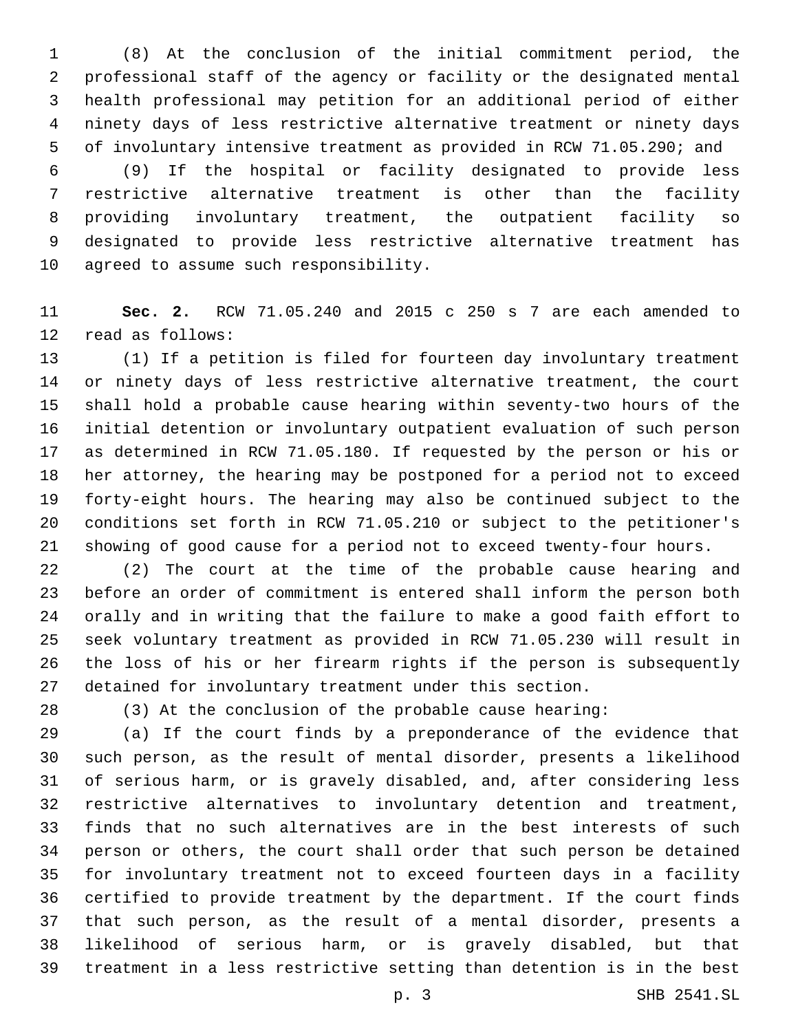(8) At the conclusion of the initial commitment period, the professional staff of the agency or facility or the designated mental health professional may petition for an additional period of either ninety days of less restrictive alternative treatment or ninety days of involuntary intensive treatment as provided in RCW 71.05.290; and

 (9) If the hospital or facility designated to provide less restrictive alternative treatment is other than the facility providing involuntary treatment, the outpatient facility so designated to provide less restrictive alternative treatment has 10 agreed to assume such responsibility.

 **Sec. 2.** RCW 71.05.240 and 2015 c 250 s 7 are each amended to 12 read as follows:

 (1) If a petition is filed for fourteen day involuntary treatment or ninety days of less restrictive alternative treatment, the court shall hold a probable cause hearing within seventy-two hours of the initial detention or involuntary outpatient evaluation of such person as determined in RCW 71.05.180. If requested by the person or his or her attorney, the hearing may be postponed for a period not to exceed forty-eight hours. The hearing may also be continued subject to the conditions set forth in RCW 71.05.210 or subject to the petitioner's showing of good cause for a period not to exceed twenty-four hours.

 (2) The court at the time of the probable cause hearing and before an order of commitment is entered shall inform the person both orally and in writing that the failure to make a good faith effort to seek voluntary treatment as provided in RCW 71.05.230 will result in the loss of his or her firearm rights if the person is subsequently detained for involuntary treatment under this section.

(3) At the conclusion of the probable cause hearing:

 (a) If the court finds by a preponderance of the evidence that such person, as the result of mental disorder, presents a likelihood of serious harm, or is gravely disabled, and, after considering less restrictive alternatives to involuntary detention and treatment, finds that no such alternatives are in the best interests of such person or others, the court shall order that such person be detained for involuntary treatment not to exceed fourteen days in a facility certified to provide treatment by the department. If the court finds that such person, as the result of a mental disorder, presents a likelihood of serious harm, or is gravely disabled, but that treatment in a less restrictive setting than detention is in the best

p. 3 SHB 2541.SL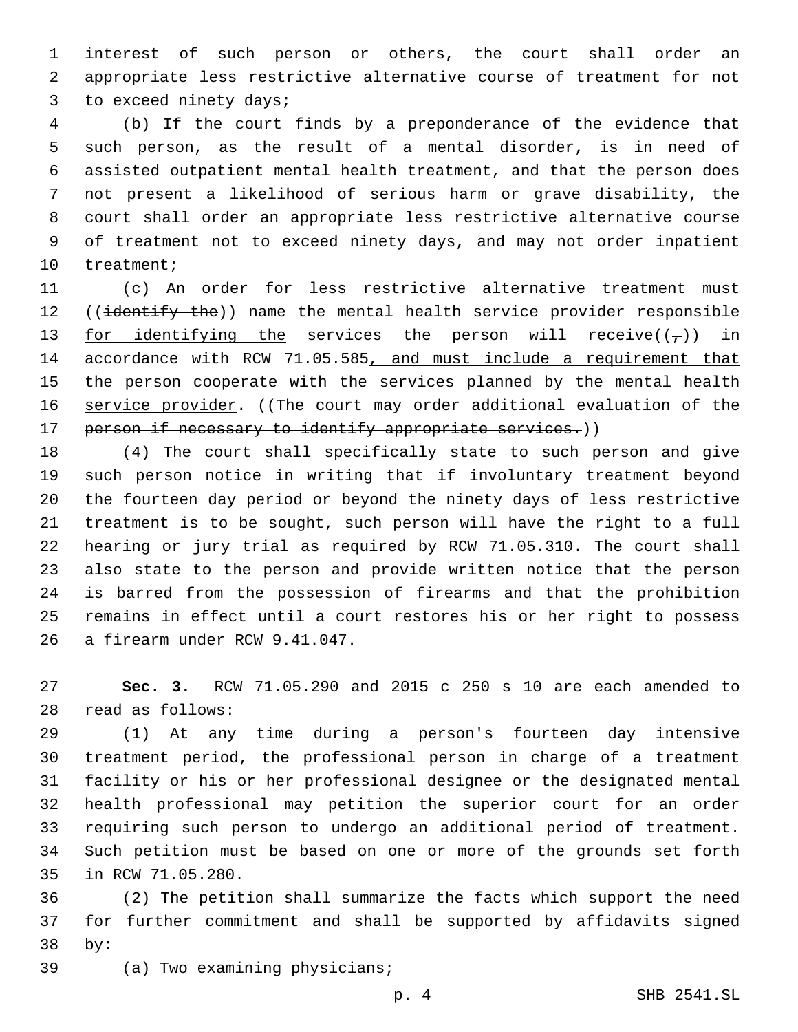interest of such person or others, the court shall order an appropriate less restrictive alternative course of treatment for not 3 to exceed ninety days;

 (b) If the court finds by a preponderance of the evidence that such person, as the result of a mental disorder, is in need of assisted outpatient mental health treatment, and that the person does not present a likelihood of serious harm or grave disability, the court shall order an appropriate less restrictive alternative course of treatment not to exceed ninety days, and may not order inpatient 10 treatment;

 (c) An order for less restrictive alternative treatment must 12 ((identify the)) name the mental health service provider responsible 13 <u>for identifying the</u> services the person will receive( $(\tau)$ ) in accordance with RCW 71.05.585, and must include a requirement that 15 the person cooperate with the services planned by the mental health service provider. ((The court may order additional evaluation of the 17 person if necessary to identify appropriate services.))

 (4) The court shall specifically state to such person and give such person notice in writing that if involuntary treatment beyond the fourteen day period or beyond the ninety days of less restrictive treatment is to be sought, such person will have the right to a full hearing or jury trial as required by RCW 71.05.310. The court shall also state to the person and provide written notice that the person is barred from the possession of firearms and that the prohibition remains in effect until a court restores his or her right to possess 26 a firearm under RCW 9.41.047.

 **Sec. 3.** RCW 71.05.290 and 2015 c 250 s 10 are each amended to 28 read as follows:

 (1) At any time during a person's fourteen day intensive treatment period, the professional person in charge of a treatment facility or his or her professional designee or the designated mental health professional may petition the superior court for an order requiring such person to undergo an additional period of treatment. Such petition must be based on one or more of the grounds set forth 35 in RCW 71.05.280.

 (2) The petition shall summarize the facts which support the need for further commitment and shall be supported by affidavits signed by:38

39 (a) Two examining physicians;

p. 4 SHB 2541.SL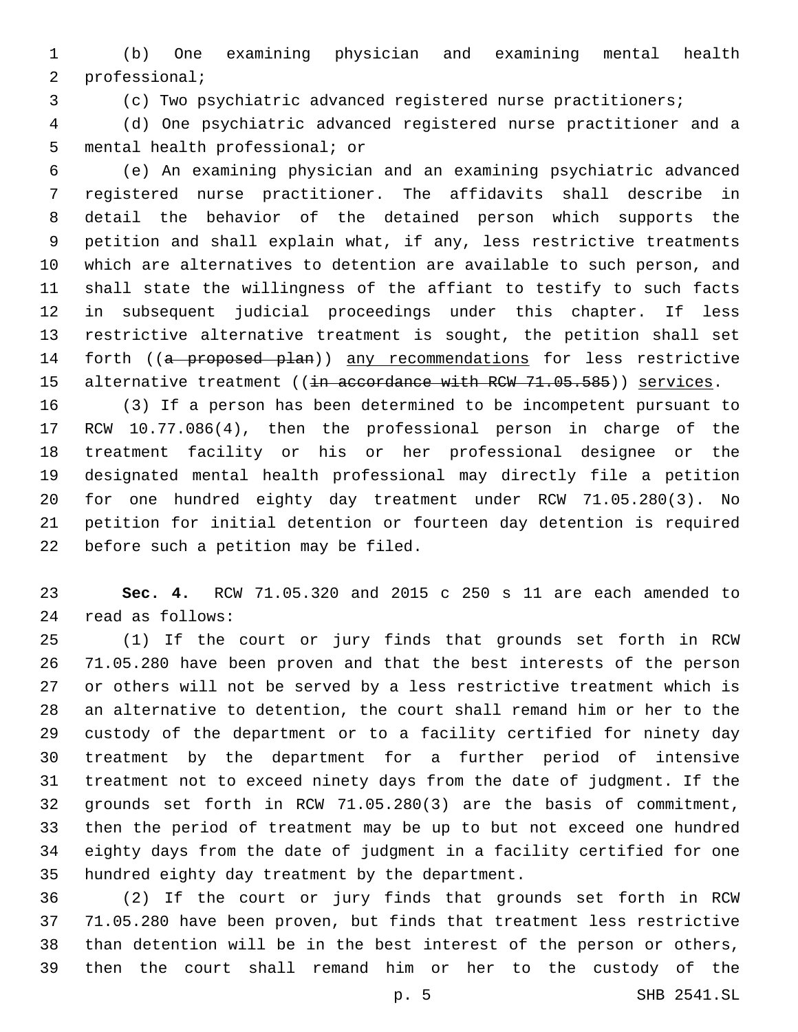(b) One examining physician and examining mental health 2 professional;

(c) Two psychiatric advanced registered nurse practitioners;

 (d) One psychiatric advanced registered nurse practitioner and a 5 mental health professional; or

 (e) An examining physician and an examining psychiatric advanced registered nurse practitioner. The affidavits shall describe in detail the behavior of the detained person which supports the petition and shall explain what, if any, less restrictive treatments which are alternatives to detention are available to such person, and shall state the willingness of the affiant to testify to such facts in subsequent judicial proceedings under this chapter. If less restrictive alternative treatment is sought, the petition shall set 14 forth ((a proposed plan)) any recommendations for less restrictive 15 alternative treatment ((in accordance with RCW 71.05.585)) services.

 (3) If a person has been determined to be incompetent pursuant to RCW 10.77.086(4), then the professional person in charge of the treatment facility or his or her professional designee or the designated mental health professional may directly file a petition for one hundred eighty day treatment under RCW 71.05.280(3). No petition for initial detention or fourteen day detention is required 22 before such a petition may be filed.

 **Sec. 4.** RCW 71.05.320 and 2015 c 250 s 11 are each amended to read as follows:24

 (1) If the court or jury finds that grounds set forth in RCW 71.05.280 have been proven and that the best interests of the person or others will not be served by a less restrictive treatment which is an alternative to detention, the court shall remand him or her to the custody of the department or to a facility certified for ninety day treatment by the department for a further period of intensive treatment not to exceed ninety days from the date of judgment. If the grounds set forth in RCW 71.05.280(3) are the basis of commitment, then the period of treatment may be up to but not exceed one hundred eighty days from the date of judgment in a facility certified for one 35 hundred eighty day treatment by the department.

 (2) If the court or jury finds that grounds set forth in RCW 71.05.280 have been proven, but finds that treatment less restrictive than detention will be in the best interest of the person or others, then the court shall remand him or her to the custody of the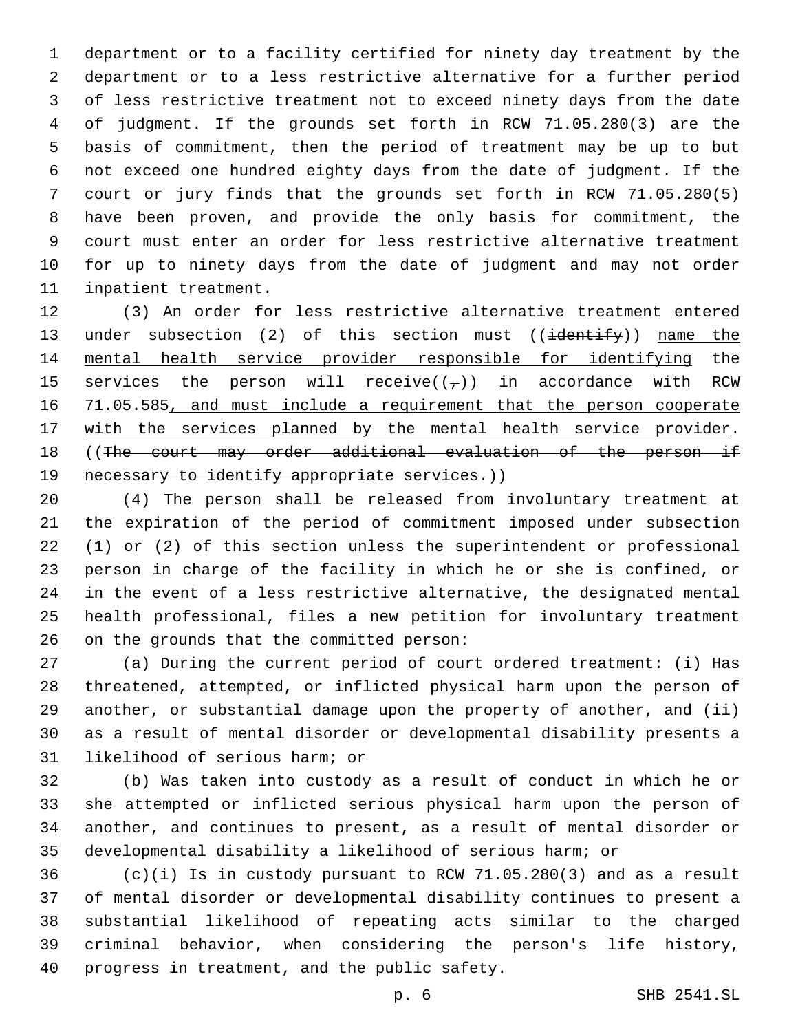department or to a facility certified for ninety day treatment by the department or to a less restrictive alternative for a further period of less restrictive treatment not to exceed ninety days from the date of judgment. If the grounds set forth in RCW 71.05.280(3) are the basis of commitment, then the period of treatment may be up to but not exceed one hundred eighty days from the date of judgment. If the court or jury finds that the grounds set forth in RCW 71.05.280(5) have been proven, and provide the only basis for commitment, the court must enter an order for less restrictive alternative treatment for up to ninety days from the date of judgment and may not order 11 inpatient treatment.

 (3) An order for less restrictive alternative treatment entered 13 under subsection (2) of this section must ((identify)) name the mental health service provider responsible for identifying the 15 services the person will receive( $(\tau)$ ) in accordance with RCW 16 71.05.585, and must include a requirement that the person cooperate 17 with the services planned by the mental health service provider. ((The court may order additional evaluation of the person if 19 necessary to identify appropriate services.))

 (4) The person shall be released from involuntary treatment at the expiration of the period of commitment imposed under subsection (1) or (2) of this section unless the superintendent or professional person in charge of the facility in which he or she is confined, or in the event of a less restrictive alternative, the designated mental health professional, files a new petition for involuntary treatment 26 on the grounds that the committed person:

 (a) During the current period of court ordered treatment: (i) Has threatened, attempted, or inflicted physical harm upon the person of another, or substantial damage upon the property of another, and (ii) as a result of mental disorder or developmental disability presents a 31 likelihood of serious harm; or

 (b) Was taken into custody as a result of conduct in which he or she attempted or inflicted serious physical harm upon the person of another, and continues to present, as a result of mental disorder or developmental disability a likelihood of serious harm; or

 (c)(i) Is in custody pursuant to RCW 71.05.280(3) and as a result of mental disorder or developmental disability continues to present a substantial likelihood of repeating acts similar to the charged criminal behavior, when considering the person's life history, 40 progress in treatment, and the public safety.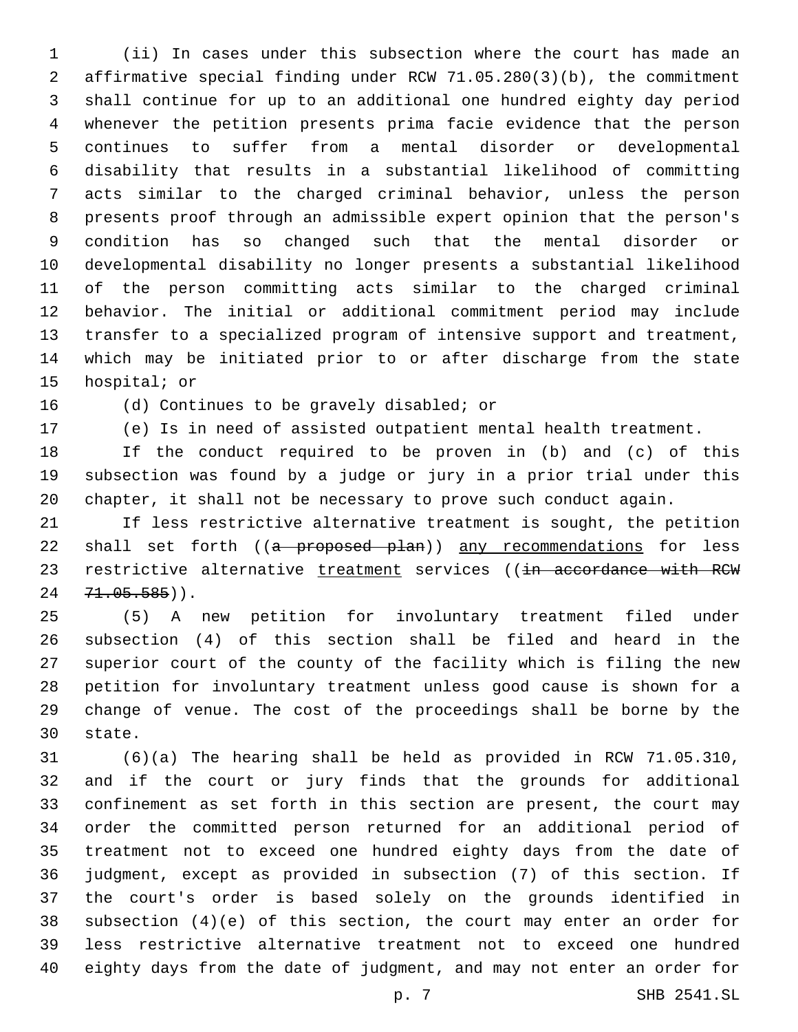(ii) In cases under this subsection where the court has made an affirmative special finding under RCW 71.05.280(3)(b), the commitment shall continue for up to an additional one hundred eighty day period whenever the petition presents prima facie evidence that the person continues to suffer from a mental disorder or developmental disability that results in a substantial likelihood of committing acts similar to the charged criminal behavior, unless the person presents proof through an admissible expert opinion that the person's condition has so changed such that the mental disorder or developmental disability no longer presents a substantial likelihood of the person committing acts similar to the charged criminal behavior. The initial or additional commitment period may include transfer to a specialized program of intensive support and treatment, which may be initiated prior to or after discharge from the state 15 hospital; or

16 (d) Continues to be gravely disabled; or

(e) Is in need of assisted outpatient mental health treatment.

 If the conduct required to be proven in (b) and (c) of this subsection was found by a judge or jury in a prior trial under this chapter, it shall not be necessary to prove such conduct again.

 If less restrictive alternative treatment is sought, the petition 22 shall set forth ((a proposed plan)) any recommendations for less 23 restrictive alternative treatment services ((in accordance with RCW  $71.05.585)$ .

 (5) A new petition for involuntary treatment filed under subsection (4) of this section shall be filed and heard in the superior court of the county of the facility which is filing the new petition for involuntary treatment unless good cause is shown for a change of venue. The cost of the proceedings shall be borne by the 30 state.

 (6)(a) The hearing shall be held as provided in RCW 71.05.310, and if the court or jury finds that the grounds for additional confinement as set forth in this section are present, the court may order the committed person returned for an additional period of treatment not to exceed one hundred eighty days from the date of judgment, except as provided in subsection (7) of this section. If the court's order is based solely on the grounds identified in subsection (4)(e) of this section, the court may enter an order for less restrictive alternative treatment not to exceed one hundred eighty days from the date of judgment, and may not enter an order for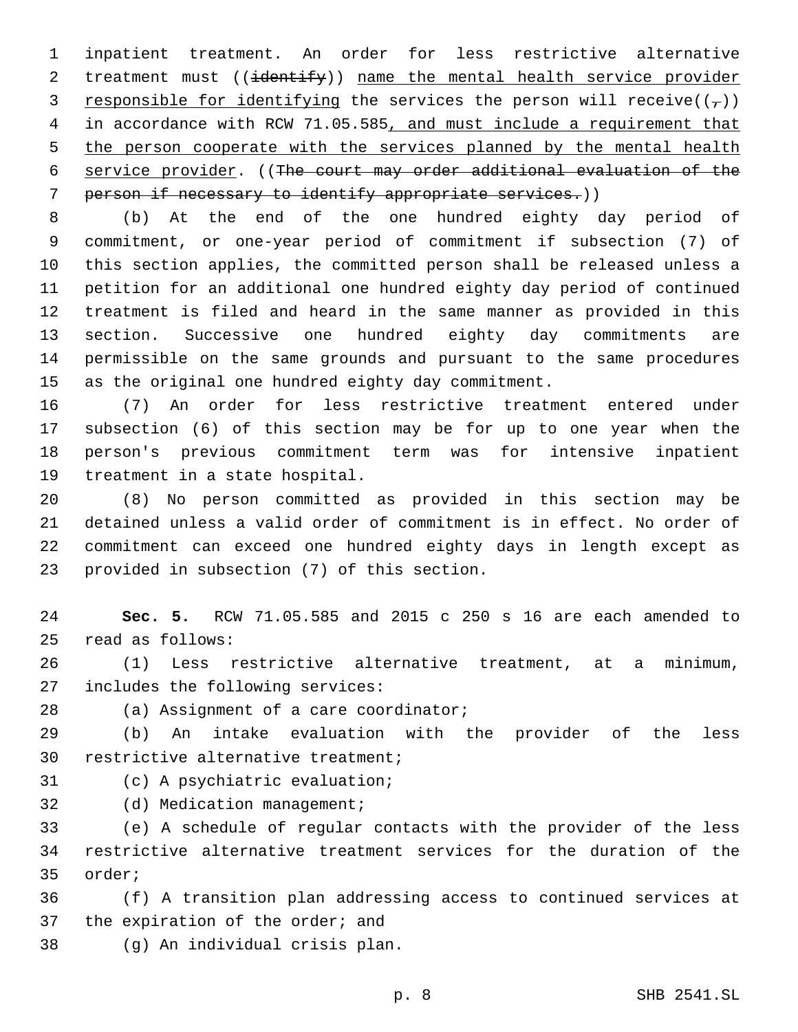inpatient treatment. An order for less restrictive alternative 2 treatment must ((identify)) name the mental health service provider 3 responsible for identifying the services the person will receive( $(\tau)$ ) in accordance with RCW 71.05.585, and must include a requirement that 5 the person cooperate with the services planned by the mental health service provider. ((The court may order additional evaluation of the person if necessary to identify appropriate services.))

 (b) At the end of the one hundred eighty day period of commitment, or one-year period of commitment if subsection (7) of this section applies, the committed person shall be released unless a petition for an additional one hundred eighty day period of continued treatment is filed and heard in the same manner as provided in this section. Successive one hundred eighty day commitments are permissible on the same grounds and pursuant to the same procedures as the original one hundred eighty day commitment.

 (7) An order for less restrictive treatment entered under subsection (6) of this section may be for up to one year when the person's previous commitment term was for intensive inpatient 19 treatment in a state hospital.

 (8) No person committed as provided in this section may be detained unless a valid order of commitment is in effect. No order of commitment can exceed one hundred eighty days in length except as 23 provided in subsection (7) of this section.

 **Sec. 5.** RCW 71.05.585 and 2015 c 250 s 16 are each amended to read as follows:25

 (1) Less restrictive alternative treatment, at a minimum, 27 includes the following services:

28 (a) Assignment of a care coordinator;

 (b) An intake evaluation with the provider of the less 30 restrictive alternative treatment;

31 (c) A psychiatric evaluation;

32 (d) Medication management;

 (e) A schedule of regular contacts with the provider of the less restrictive alternative treatment services for the duration of the 35 order;

 (f) A transition plan addressing access to continued services at 37 the expiration of the order; and

(g) An individual crisis plan.38